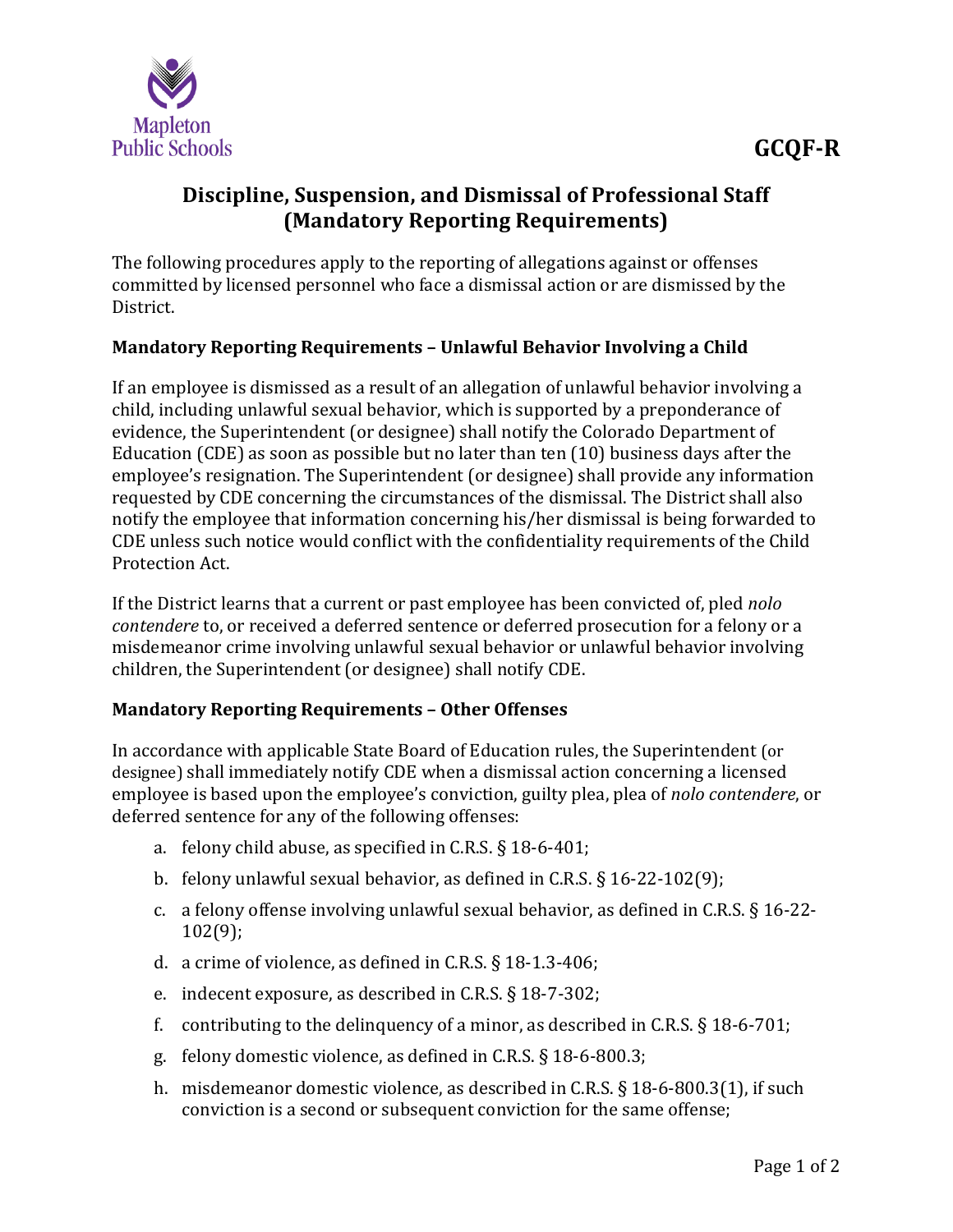

## **Discipline, Suspension, and Dismissal of Professional Staff (Mandatory Reporting Requirements)**

The following procedures apply to the reporting of allegations against or offenses committed by licensed personnel who face a dismissal action or are dismissed by the District.

## **Mandatory Reporting Requirements – Unlawful Behavior Involving a Child**

If an employee is dismissed as a result of an allegation of unlawful behavior involving a child, including unlawful sexual behavior, which is supported by a preponderance of evidence, the Superintendent (or designee) shall notify the Colorado Department of Education (CDE) as soon as possible but no later than ten (10) business days after the employee's resignation. The Superintendent (or designee) shall provide any information requested by CDE concerning the circumstances of the dismissal. The District shall also notify the employee that information concerning his/her dismissal is being forwarded to CDE unless such notice would conflict with the confidentiality requirements of the Child Protection Act.

If the District learns that a current or past employee has been convicted of, pled *nolo contendere* to, or received a deferred sentence or deferred prosecution for a felony or a misdemeanor crime involving unlawful sexual behavior or unlawful behavior involving children, the Superintendent (or designee) shall notify CDE.

## **Mandatory Reporting Requirements – Other Offenses**

In accordance with applicable State Board of Education rules, the Superintendent (or designee) shall immediately notify CDE when a dismissal action concerning a licensed employee is based upon the employee's conviction, guilty plea, plea of *nolo contendere*, or deferred sentence for any of the following offenses:

- a. felony child abuse, as specified in C.R.S. § 18-6-401;
- b. felony unlawful sexual behavior, as defined in C.R.S. § 16-22-102(9);
- c. a felony offense involving unlawful sexual behavior, as defined in C.R.S. § 16-22- 102(9);
- d. a crime of violence, as defined in C.R.S. § 18-1.3-406;
- e. indecent exposure, as described in C.R.S. § 18-7-302;
- f. contributing to the delinquency of a minor, as described in C.R.S. § 18-6-701;
- g. felony domestic violence, as defined in C.R.S. § 18-6-800.3;
- h. misdemeanor domestic violence, as described in C.R.S. § 18-6-800.3(1), if such conviction is a second or subsequent conviction for the same offense;